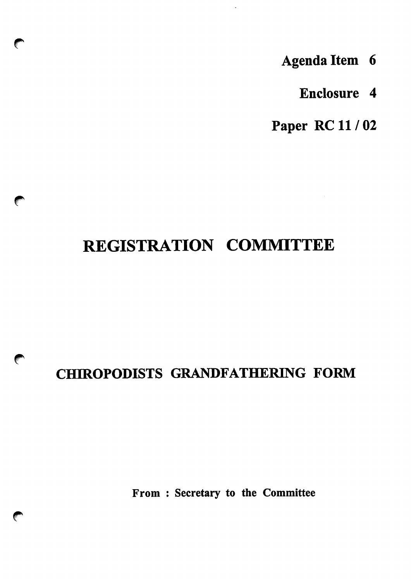- Agenda Item 6
	- Enclosure 4

Paper RC11/02

# REGISTRATION COMMITTEE

 $\sqrt{2}$ 

 $\bullet$ 

## CHIROPODISTS GRANDFATHERING FORM

From : Secretary to the Committee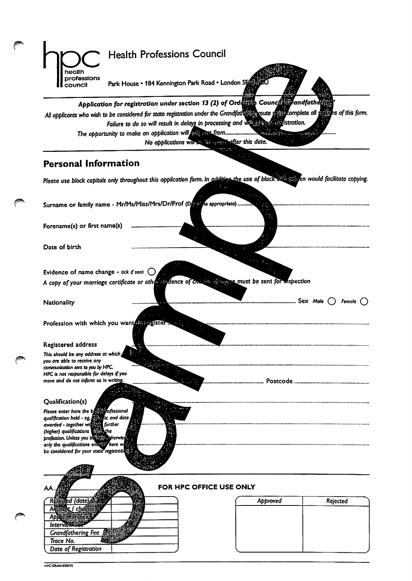|                                                                                                                                                                                              | <b>Health Professions Council</b>                                                                                                                                                                                                                                                                             |
|----------------------------------------------------------------------------------------------------------------------------------------------------------------------------------------------|---------------------------------------------------------------------------------------------------------------------------------------------------------------------------------------------------------------------------------------------------------------------------------------------------------------|
| health<br>professions<br>council                                                                                                                                                             | Park House • 184 Kennington Park Road • London SE415                                                                                                                                                                                                                                                          |
|                                                                                                                                                                                              | Application for registration under section 13 (2) of Ordentia Council Carandfather<br>All applicants who wish to be considered for state registration under the Grandfathenes coute rails fromplete all suffers of this form.<br>Failure to do so will result in delays in processing and with the additional |
|                                                                                                                                                                                              | $-1.7614$<br>No applications will be biospital after this date.                                                                                                                                                                                                                                               |
| <b>Personal Information</b>                                                                                                                                                                  |                                                                                                                                                                                                                                                                                                               |
|                                                                                                                                                                                              | Please use block capitals only throughout this application form. In addition the use of black surfactor would facilitate copying.                                                                                                                                                                             |
|                                                                                                                                                                                              | Surname or family name - Mr/Ms/Miss/Mrs/Dr/Prof (Devel as appropriate)                                                                                                                                                                                                                                        |
| Forename(s) or first name(s)                                                                                                                                                                 |                                                                                                                                                                                                                                                                                                               |
| Date of birth                                                                                                                                                                                |                                                                                                                                                                                                                                                                                                               |
| Evidence of name change - tick if sent $\bigcirc$                                                                                                                                            |                                                                                                                                                                                                                                                                                                               |
|                                                                                                                                                                                              | A copy of your marriage certificate or other sydence of change with the must be sent for mspection                                                                                                                                                                                                            |
| Nationality                                                                                                                                                                                  | Sex Male<br>Female                                                                                                                                                                                                                                                                                            |
|                                                                                                                                                                                              | Profession with which you want requester                                                                                                                                                                                                                                                                      |
| Registered address                                                                                                                                                                           |                                                                                                                                                                                                                                                                                                               |
| This should be any address at which<br>you are able to receive any<br>communication sent to you by HPC.<br>HPC is not responsible for delays if you<br>move and do not inform us in writing. |                                                                                                                                                                                                                                                                                                               |
|                                                                                                                                                                                              |                                                                                                                                                                                                                                                                                                               |
| Qualification(s)<br>Please enter here the between ofessional<br>qualification held - eg, ESE<br>awarded - together widen<br>(higher) qualifications all the                                  | tic and date<br>further                                                                                                                                                                                                                                                                                       |

| ΑА                   | FOR HPC OFFICE USE ONLY |          |
|----------------------|-------------------------|----------|
|                      | Approved                | Rejected |
|                      |                         |          |
|                      |                         |          |
| Interviewem          |                         |          |
| Grandfathering Fee A |                         |          |
| Trace No.            |                         |          |
| Date of Registration |                         |          |

profession. Unless you oniv the qualifications chi be considered for your state're,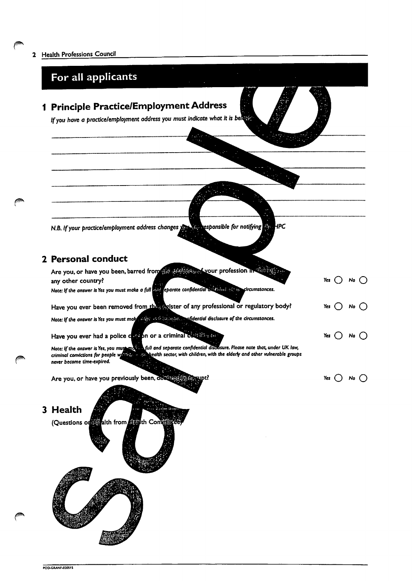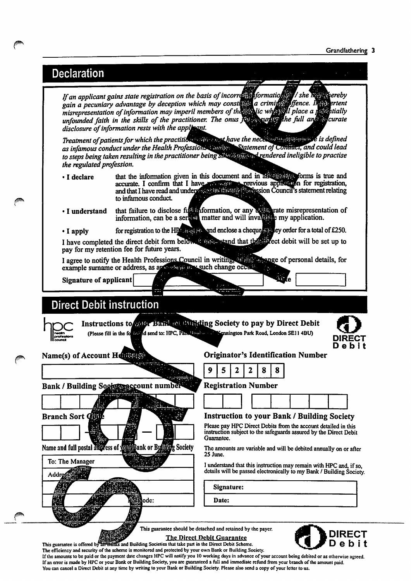### Declaration

If an applicant gains state registration on the basis ofinco gain a pecuniary advantage by deception which may cons misrepresentation of information may imperil members of the unfounded faith in the skills of the practitioner. The onus disclosure of information rests with the applicant. Iformatioffig/ she a criminassonence. I place a ne nuu

Treatment of patients for which the practition which there are have the necessary equipment is defined as infamous conduct under the Health Professiol, to steps being taken resulting in the practitioner being^ the regulated profession. atement of C<del>onduct,</del> and could lead endered ineligible to practise

- I declare that the information given in this document and in an unique of this is true and accurate. I confirm that I and that I have read and under region by the present system Council to infamous conduct Bn for registration, Ps statement relating
- I understand that failure to disclose information, can be a irmation, or any matter and will inva misrepresentation of my application.
- I apply for registration to the filtration  $\frac{1}{2}$  and enclose a cheque single by order for a total of  $L250$ .

pay for my retention fee for future years. I have completed the direct debit form below it with stand that this sect debit will be set up to

I agree to notify the Health Professions Council in writing, all ago to personal details, for example surname or address, as approximately such change occ

Signature of applicant

### **Direct Debit instruction**

To: The Manager

Addrea

Instructions to relix Bark multisting Society to pay by Direct Debit (Please fill in the formula send to: HPC, Park Road, Park Road, Road, London SEII 4BU)



### Name(s) of Account Henrich Structure Contains Contains Contains Number

|  |  |  | ٠ |
|--|--|--|---|
|  |  |  |   |

Bank / Building Social raccount number & Registration Number



Name and full postal address of Youth Bank or Building Society

ode:



#### Instruction to your Bank / Building Society

Please pay HPC Direct Debits from the account detailed in this instruction subject to the safeguards assured by the Direct Debit Guarantee.

The amounts are variable and will be debited annually on or after 25 June.

I understand that this instruction may remain with HPC and, if so, details will be passed electronically to my Bank / Building Society.

Signature:

Date:

This guarantee should be detached and retained by the payer.





This guarantee is offered by WBBBSS and Building Societies that take part in the Direct Debit Scheme.<br>The efficiency and security of the scheme is monitored and protected by your own Bank or Building Society. If the amounts to be paid or the payment date changes HPC will notify you 10 working days in advance of your account being debited or as otherwise agreed. If an error is made by HPC or your Bank or Building Society, you are guaranteed a full and immediate refund from your branch of the amount paid. You can cancel a Direct Debit at any time by writing to your Bank or Building Society. Please also send a copy of your letter to us.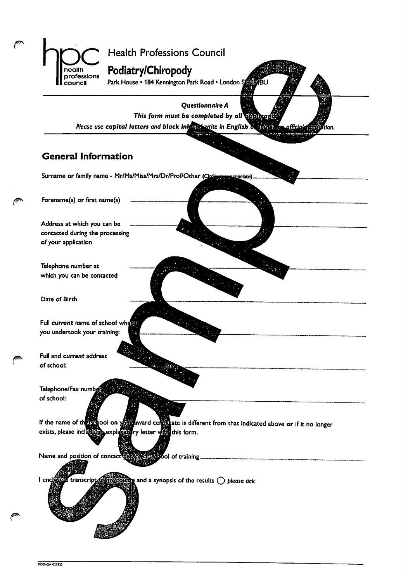

Questionnaire A This form must be completed by all **TORIA:** Please use capital letters and black ink an write in English of south and official dian tion.

### General Information

Surname or family name - Mr/Ms/Miss/Mrs/Dr/Prof/Other (Cincless reasonriate)

Forename(s) or first name(s)

Address at which you can be contacted during the processing of your application

Telephone number at which you can be contacted

Date of Birth

Full current name of school when you undertook your training:

Full and current address of school:

Telephone/Fax numbj of school:

If the name of the S&Ool on  $\frac{1}{2}$  ate is different from that indicated above or if it no longer exists, please include the explanation view retter view this form.

Name and position of contact dependence bool of training.

 $I$  ences  $\overline{a}$  and a synopsis of the results  $\bigcirc$  please tick transcript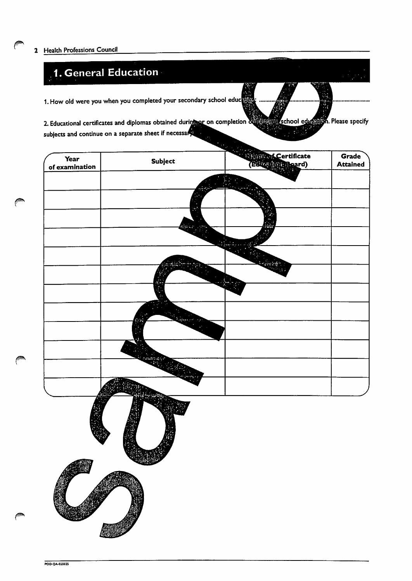m.

## 1. General Education

1. How old were you when you completed your secondary school eduction

2. Educational certificates and diplomas obtained during or on completion during school education. Please specify subjects and continue on a separate sheet if necessary Ŧ.

| <b>Year</b><br>of examination | Subject          | <b>Education Certificate</b> | <b>Grade</b><br><b>Attained</b> |
|-------------------------------|------------------|------------------------------|---------------------------------|
|                               |                  |                              |                                 |
|                               |                  |                              |                                 |
|                               |                  |                              |                                 |
|                               |                  |                              |                                 |
|                               |                  |                              |                                 |
|                               |                  |                              |                                 |
|                               |                  |                              |                                 |
|                               | <b>REAL</b>      |                              |                                 |
|                               |                  |                              |                                 |
|                               |                  |                              |                                 |
|                               |                  |                              |                                 |
|                               |                  |                              |                                 |
|                               | <b>All March</b> |                              |                                 |
|                               | 蘭                |                              |                                 |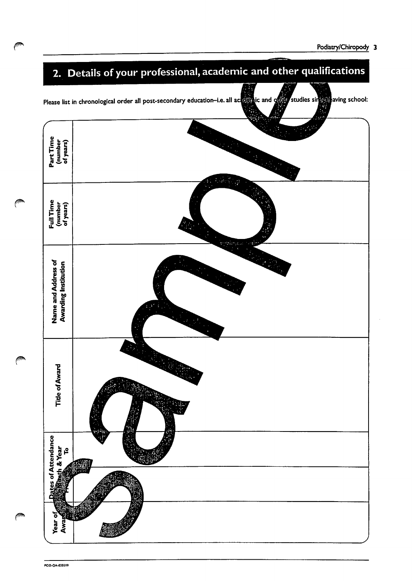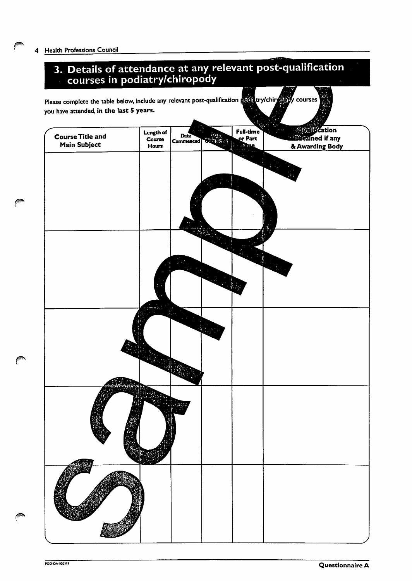### 3. Details of attendance at any relevant post-qualification courses in podiatry/chiropody

| Please complete the table below, include any relevant post-qualification podl try/chire powerses<br>you have attended, in the last 5 years. |                              |                   |                       |                             |                                                                                           |
|---------------------------------------------------------------------------------------------------------------------------------------------|------------------------------|-------------------|-----------------------|-----------------------------|-------------------------------------------------------------------------------------------|
| <b>Course Title and</b><br>Main Subject                                                                                                     | Length of<br>Course<br>Hours | Date<br>Commenced | ن الإفا<br>े का एवं ज | Full-time<br>or Part<br>Eme | <b><i><u><b>Quellitzation</b></u></i></b><br><b>Resistained if any</b><br>& Awarding Body |
|                                                                                                                                             |                              |                   |                       |                             |                                                                                           |
|                                                                                                                                             |                              |                   |                       |                             |                                                                                           |
|                                                                                                                                             |                              |                   |                       |                             |                                                                                           |
|                                                                                                                                             |                              |                   |                       |                             |                                                                                           |
|                                                                                                                                             |                              |                   |                       |                             |                                                                                           |
|                                                                                                                                             |                              |                   |                       |                             | <b>Report</b>                                                                             |
|                                                                                                                                             |                              |                   | <b>Read</b>           |                             |                                                                                           |
|                                                                                                                                             |                              |                   |                       |                             |                                                                                           |
|                                                                                                                                             |                              |                   |                       |                             |                                                                                           |
|                                                                                                                                             |                              |                   |                       |                             |                                                                                           |
|                                                                                                                                             |                              |                   |                       |                             |                                                                                           |
|                                                                                                                                             |                              |                   |                       |                             |                                                                                           |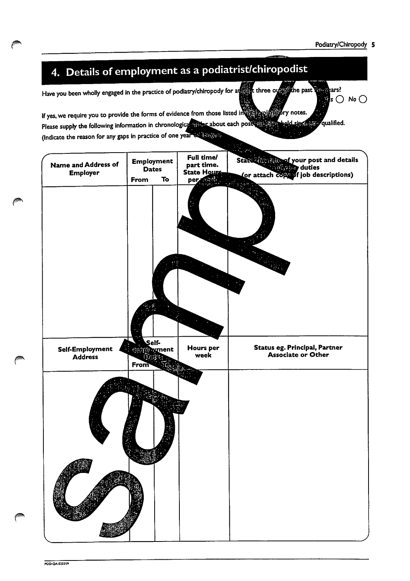$\mathbb{Z}$ s  $\bigcirc$  No  $\bigcirc$ 

# 4. Details of employment as a podiatrist/chiropodist

Have you been wholly engaged in the practice of podiatry/chiropody for at three over the past that the past

If yes, we require you to provide the forms of evidence from those listed in the state of .<br>ry notes. Please supply the following information in chronological attitude about each post with  $\frac{1}{2}$ qualified. de kant (Indicate the reason for any gaps in practice of one year of Bingerin

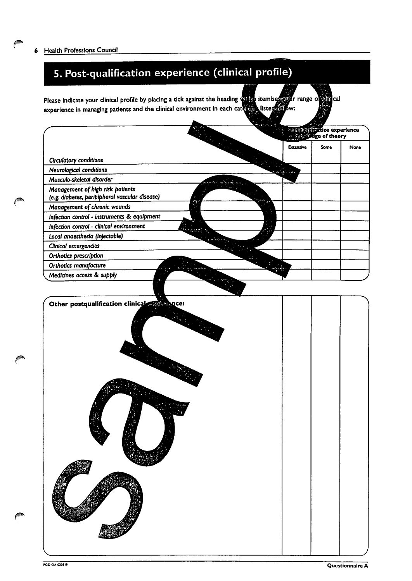## 5. Post-qualification experience (clinical profile)

Please indicate your clinical profile by placing a tick against the heading will temise **ggår range o** Gincal experience in managing patients and the clinical environment in each category listed is sw:

|                                                                                    |  | <b><i>Commission Rice experience</i></b> |      |      |
|------------------------------------------------------------------------------------|--|------------------------------------------|------|------|
|                                                                                    |  | <b>Extensive</b>                         | Same | None |
| Circulatory conditions                                                             |  |                                          |      |      |
| Neurological conditions                                                            |  |                                          |      |      |
| Musculo-skeletal disorder                                                          |  |                                          |      |      |
| Management of high risk patients<br>(e.g. diabetes, peripipheral vascular disease) |  |                                          |      |      |
| Management of chronic wounds                                                       |  |                                          |      |      |
| Infection control - instruments & equipment                                        |  |                                          |      |      |
| Infection control - clinical environment                                           |  |                                          |      |      |
| Local anaesthesia (injectable)                                                     |  |                                          |      |      |
| Clinical emergencies                                                               |  |                                          |      |      |
| Orthotics prescription                                                             |  |                                          |      |      |
| Orthotics manufacture                                                              |  |                                          |      |      |
| Medicines access & supply                                                          |  |                                          |      |      |

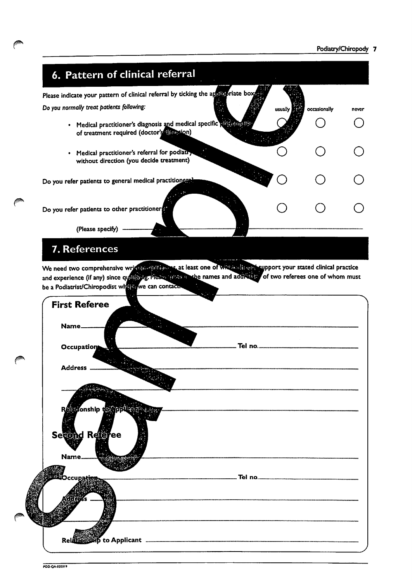#### Podiatry/Chiropody 7



### 7. References

**jugar** 

We need two comprehensive write in clinical process one of web assigning support your stated clinical practice and experience (if any) since qualifying. Please since the names and address of two referees one of whom must be a Podiatrist/Chiropodist whether we can contact

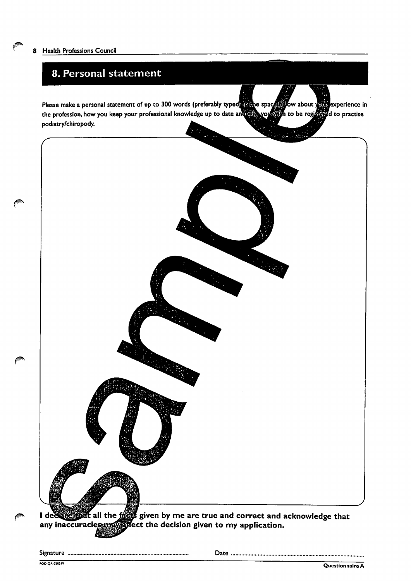### 8. Personal statement

Please make a personal statement of up to 300 words (preferably typed) match spacetagow about your reference in the profession, how you keep your professional knowledge up to date and reling your and to be registered to practise podiatry/chiropody.



I declarent any inaccuracies  $\alpha$  all the  $\frac{1}{2}$  given by me are true and correct and acknowledge that fattect the decision given to my application.

Signature Date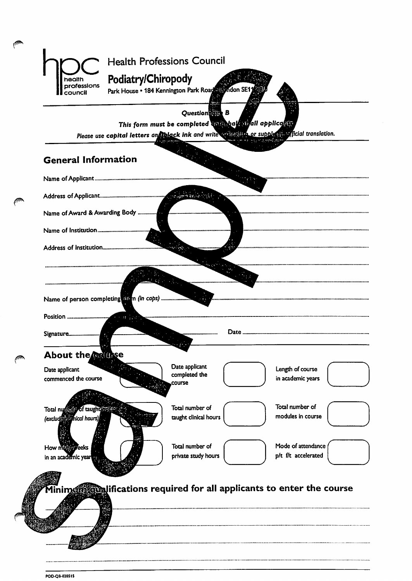

POD-CJB-020S1S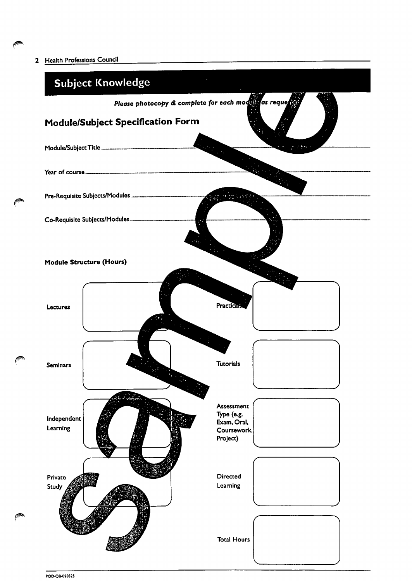2 Health Professions Council

jp

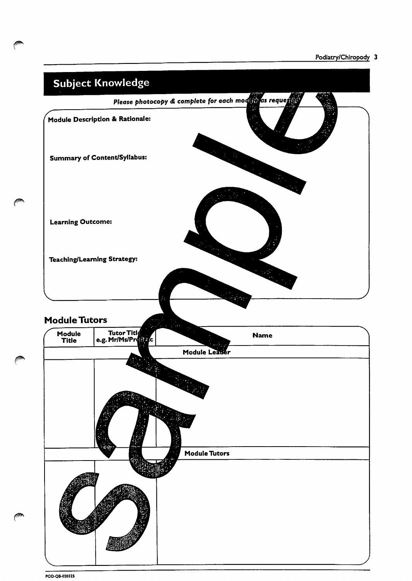#### Podiatry/Chiropody 3



POO-QB-01012S